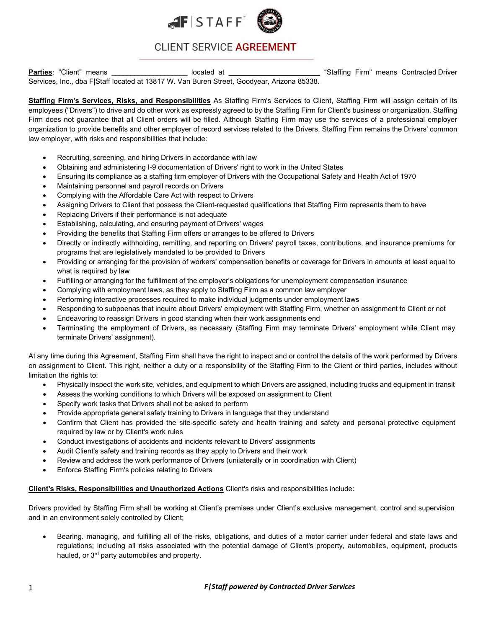



## CLIENT SERVICE AGREEMENT

**Parties**: "Client" means **Exercices** Contracted Driver and the located at <u>Exercise Contracted Driver and the stated at the state of the stated at the stated at the stated at the stated Driver and the stated at the state </u> Services, Inc., dba F|Staff located at 13817 W. Van Buren Street, Goodyear, Arizona 85338.

**Staffing Firm's Services, Risks, and Responsibilities** As Staffing Firm's Services to Client, Staffing Firm will assign certain of its employees ("Drivers") to drive and do other work as expressly agreed to by the Staffing Firm for Client's business or organization. Staffing Firm does not guarantee that all Client orders will be filled. Although Staffing Firm may use the services of a professional employer organization to provide benefits and other employer of record services related to the Drivers, Staffing Firm remains the Drivers' common law employer, with risks and responsibilities that include:

- Recruiting, screening, and hiring Drivers in accordance with law
- Obtaining and administering I-9 documentation of Drivers' right to work in the United States
- Ensuring its compliance as a staffing firm employer of Drivers with the Occupational Safety and Health Act of 1970
- Maintaining personnel and payroll records on Drivers
- Complying with the Affordable Care Act with respect to Drivers
- Assigning Drivers to Client that possess the Client-requested qualifications that Staffing Firm represents them to have
- Replacing Drivers if their performance is not adequate
- Establishing, calculating, and ensuring payment of Drivers' wages
- Providing the benefits that Staffing Firm offers or arranges to be offered to Drivers
- Directly or indirectly withholding, remitting, and reporting on Drivers' payroll taxes, contributions, and insurance premiums for programs that are legislatively mandated to be provided to Drivers
- Providing or arranging for the provision of workers' compensation benefits or coverage for Drivers in amounts at least equal to what is required by law
- Fulfilling or arranging for the fulfillment of the employer's obligations for unemployment compensation insurance
- Complying with employment laws, as they apply to Staffing Firm as a common law employer
- Performing interactive processes required to make individual judgments under employment laws
- Responding to subpoenas that inquire about Drivers' employment with Staffing Firm, whether on assignment to Client or not
- Endeavoring to reassign Drivers in good standing when their work assignments end
- Terminating the employment of Drivers, as necessary (Staffing Firm may terminate Drivers' employment while Client may terminate Drivers' assignment).

At any time during this Agreement, Staffing Firm shall have the right to inspect and or control the details of the work performed by Drivers on assignment to Client. This right, neither a duty or a responsibility of the Staffing Firm to the Client or third parties, includes without limitation the rights to:

- Physically inspect the work site, vehicles, and equipment to which Drivers are assigned, including trucks and equipment in transit
- Assess the working conditions to which Drivers will be exposed on assignment to Client
- Specify work tasks that Drivers shall not be asked to perform
- Provide appropriate general safety training to Drivers in language that they understand
- Confirm that Client has provided the site-specific safety and health training and safety and personal protective equipment required by law or by Client's work rules
- Conduct investigations of accidents and incidents relevant to Drivers' assignments
- Audit Client's safety and training records as they apply to Drivers and their work
- Review and address the work performance of Drivers (unilaterally or in coordination with Client)
- Enforce Staffing Firm's policies relating to Drivers

## **Client's Risks, Responsibilities and Unauthorized Actions** Client's risks and responsibilities include:

Drivers provided by Staffing Firm shall be working at Client's premises under Client's exclusive management, control and supervision and in an environment solely controlled by Client;

• Bearing. managing, and fulfilling all of the risks, obligations, and duties of a motor carrier under federal and state laws and regulations; including all risks associated with the potential damage of Client's property, automobiles, equipment, products hauled, or 3<sup>rd</sup> party automobiles and property.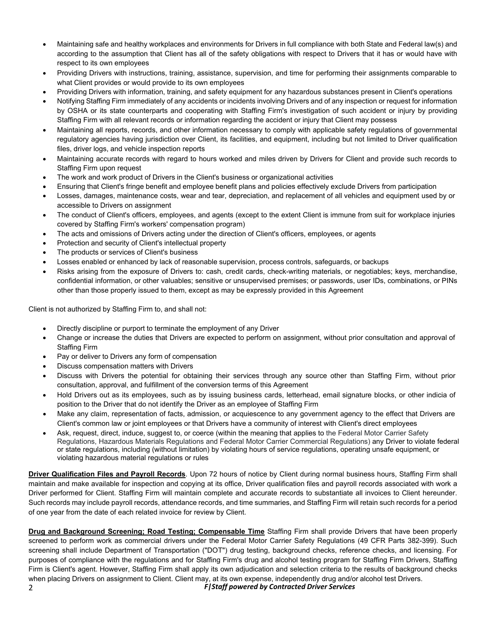- Maintaining safe and healthy workplaces and environments for Drivers in full compliance with both State and Federal law(s) and according to the assumption that Client has all of the safety obligations with respect to Drivers that it has or would have with respect to its own employees
- Providing Drivers with instructions, training, assistance, supervision, and time for performing their assignments comparable to what Client provides or would provide to its own employees
- Providing Drivers with information, training, and safety equipment for any hazardous substances present in Client's operations
- Notifying Staffing Firm immediately of any accidents or incidents involving Drivers and of any inspection or request for information by OSHA or its state counterparts and cooperating with Staffing Firm's investigation of such accident or injury by providing Staffing Firm with all relevant records or information regarding the accident or injury that Client may possess
- Maintaining all reports, records, and other information necessary to comply with applicable safety regulations of governmental regulatory agencies having jurisdiction over Client, its facilities, and equipment, including but not limited to Driver qualification files, driver logs, and vehicle inspection reports
- Maintaining accurate records with regard to hours worked and miles driven by Drivers for Client and provide such records to Staffing Firm upon request
- The work and work product of Drivers in the Client's business or organizational activities
- Ensuring that Client's fringe benefit and employee benefit plans and policies effectively exclude Drivers from participation
- Losses, damages, maintenance costs, wear and tear, depreciation, and replacement of all vehicles and equipment used by or accessible to Drivers on assignment
- The conduct of Client's officers, employees, and agents (except to the extent Client is immune from suit for workplace injuries covered by Staffing Firm's workers' compensation program)
- The acts and omissions of Drivers acting under the direction of Client's officers, employees, or agents
- Protection and security of Client's intellectual property
- The products or services of Client's business
- Losses enabled or enhanced by lack of reasonable supervision, process controls, safeguards, or backups
- Risks arising from the exposure of Drivers to: cash, credit cards, check-writing materials, or negotiables; keys, merchandise, confidential information, or other valuables; sensitive or unsupervised premises; or passwords, user IDs, combinations, or PINs other than those properly issued to them, except as may be expressly provided in this Agreement

Client is not authorized by Staffing Firm to, and shall not:

- Directly discipline or purport to terminate the employment of any Driver
- Change or increase the duties that Drivers are expected to perform on assignment, without prior consultation and approval of Staffing Firm
- Pay or deliver to Drivers any form of compensation
- Discuss compensation matters with Drivers
- Discuss with Drivers the potential for obtaining their services through any source other than Staffing Firm, without prior consultation, approval, and fulfillment of the conversion terms of this Agreement
- Hold Drivers out as its employees, such as by issuing business cards, letterhead, email signature blocks, or other indicia of position to the Driver that do not identify the Driver as an employee of Staffing Firm
- Make any claim, representation of facts, admission, or acquiescence to any government agency to the effect that Drivers are Client's common law or joint employees or that Drivers have a community of interest with Client's direct employees
- Ask, request, direct, induce, suggest to, or coerce (within the meaning that applies to the Federal Motor Carrier Safety Regulations, Hazardous Materials Regulations and Federal Motor Carrier Commercial Regulations) any Driver to violate federal or state regulations, including (without limitation) by violating hours of service regulations, operating unsafe equipment, or violating hazardous material regulations or rules

**Driver Qualification Files and Payroll Records**. Upon 72 hours of notice by Client during normal business hours, Staffing Firm shall maintain and make available for inspection and copying at its office, Driver qualification files and payroll records associated with work a Driver performed for Client. Staffing Firm will maintain complete and accurate records to substantiate all invoices to Client hereunder. Such records may include payroll records, attendance records, and time summaries, and Staffing Firm will retain such records for a period of one year from the date of each related invoice for review by Client.

2 *F|Staff powered by Contracted Driver Services* **Drug and Background Screening; Road Testing; Compensable Time** Staffing Firm shall provide Drivers that have been properly screened to perform work as commercial drivers under the Federal Motor Carrier Safety Regulations (49 CFR Parts 382-399). Such screening shall include Department of Transportation ("DOT") drug testing, background checks, reference checks, and licensing. For purposes of compliance with the regulations and for Staffing Firm's drug and alcohol testing program for Staffing Firm Drivers, Staffing Firm is Client's agent. However, Staffing Firm shall apply its own adjudication and selection criteria to the results of background checks when placing Drivers on assignment to Client. Client may, at its own expense, independently drug and/or alcohol test Drivers.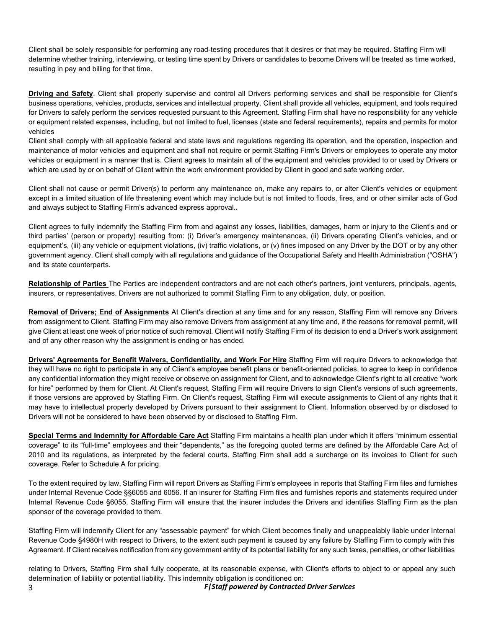Client shall be solely responsible for performing any road-testing procedures that it desires or that may be required. Staffing Firm will determine whether training, interviewing, or testing time spent by Drivers or candidates to become Drivers will be treated as time worked, resulting in pay and billing for that time.

**Driving and Safety**. Client shall properly supervise and control all Drivers performing services and shall be responsible for Client's business operations, vehicles, products, services and intellectual property. Client shall provide all vehicles, equipment, and tools required for Drivers to safely perform the services requested pursuant to this Agreement. Staffing Firm shall have no responsibility for any vehicle or equipment related expenses, including, but not limited to fuel, licenses (state and federal requirements), repairs and permits for motor vehicles

Client shall comply with all applicable federal and state laws and regulations regarding its operation, and the operation, inspection and maintenance of motor vehicles and equipment and shall not require or permit Staffing Firm's Drivers or employees to operate any motor vehicles or equipment in a manner that is. Client agrees to maintain all of the equipment and vehicles provided to or used by Drivers or which are used by or on behalf of Client within the work environment provided by Client in good and safe working order.

Client shall not cause or permit Driver(s) to perform any maintenance on, make any repairs to, or alter Client's vehicles or equipment except in a limited situation of life threatening event which may include but is not limited to floods, fires, and or other similar acts of God and always subject to Staffing Firm's advanced express approval..

Client agrees to fully indemnify the Staffing Firm from and against any losses, liabilities, damages, harm or injury to the Client's and or third parties' (person or property) resulting from: (i) Driver's emergency maintenances, (ii) Drivers operating Client's vehicles, and or equipment's, (iii) any vehicle or equipment violations, (iv) traffic violations, or (v) fines imposed on any Driver by the DOT or by any other government agency. Client shall comply with all regulations and guidance of the Occupational Safety and Health Administration ("OSHA") and its state counterparts.

**Relationship of Parties** The Parties are independent contractors and are not each other's partners, joint venturers, principals, agents, insurers, or representatives. Drivers are not authorized to commit Staffing Firm to any obligation, duty, or position.

**Removal of Drivers; End of Assignments** At Client's direction at any time and for any reason, Staffing Firm will remove any Drivers from assignment to Client. Staffing Firm may also remove Drivers from assignment at any time and, if the reasons for removal permit, will give Client at least one week of prior notice of such removal. Client will notify Staffing Firm of its decision to end a Driver's work assignment and of any other reason why the assignment is ending or has ended.

**Drivers' Agreements for Benefit Waivers, Confidentiality, and Work For Hire** Staffing Firm will require Drivers to acknowledge that they will have no right to participate in any of Client's employee benefit plans or benefit-oriented policies, to agree to keep in confidence any confidential information they might receive or observe on assignment for Client, and to acknowledge Client's right to all creative "work for hire" performed by them for Client. At Client's request, Staffing Firm will require Drivers to sign Client's versions of such agreements, if those versions are approved by Staffing Firm. On Client's request, Staffing Firm will execute assignments to Client of any rights that it may have to intellectual property developed by Drivers pursuant to their assignment to Client. Information observed by or disclosed to Drivers will not be considered to have been observed by or disclosed to Staffing Firm.

**Special Terms and Indemnity for Affordable Care Act** Staffing Firm maintains a health plan under which it offers "minimum essential coverage" to its "full-time" employees and their "dependents," as the foregoing quoted terms are defined by the Affordable Care Act of 2010 and its regulations, as interpreted by the federal courts. Staffing Firm shall add a surcharge on its invoices to Client for such coverage. Refer to Schedule A for pricing.

To the extent required by law, Staffing Firm will report Drivers as Staffing Firm's employees in reports that Staffing Firm files and furnishes under Internal Revenue Code §§6055 and 6056. If an insurer for Staffing Firm files and furnishes reports and statements required under Internal Revenue Code §6055, Staffing Firm will ensure that the insurer includes the Drivers and identifies Staffing Firm as the plan sponsor of the coverage provided to them.

Staffing Firm will indemnify Client for any "assessable payment" for which Client becomes finally and unappealably liable under Internal Revenue Code §4980H with respect to Drivers, to the extent such payment is caused by any failure by Staffing Firm to comply with this Agreement. If Client receives notification from any government entity of its potential liability for any such taxes, penalties, or other liabilities

3 *F|Staff powered by Contracted Driver Services* relating to Drivers, Staffing Firm shall fully cooperate, at its reasonable expense, with Client's efforts to object to or appeal any such determination of liability or potential liability. This indemnity obligation is conditioned on: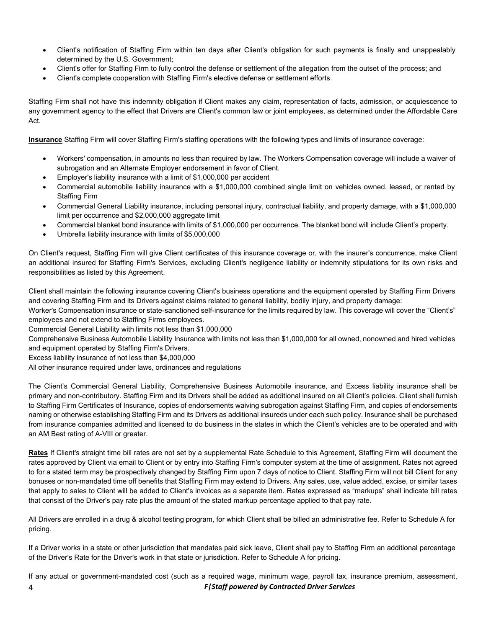- Client's notification of Staffing Firm within ten days after Client's obligation for such payments is finally and unappealably determined by the U.S. Government;
- Client's offer for Staffing Firm to fully control the defense or settlement of the allegation from the outset of the process; and
- Client's complete cooperation with Staffing Firm's elective defense or settlement efforts.

Staffing Firm shall not have this indemnity obligation if Client makes any claim, representation of facts, admission, or acquiescence to any government agency to the effect that Drivers are Client's common law or joint employees, as determined under the Affordable Care Act.

**Insurance** Staffing Firm will cover Staffing Firm's staffing operations with the following types and limits of insurance coverage:

- Workers' compensation, in amounts no less than required by law. The Workers Compensation coverage will include a waiver of subrogation and an Alternate Employer endorsement in favor of Client.
- Employer's liability insurance with a limit of \$1,000,000 per accident
- Commercial automobile liability insurance with a \$1,000,000 combined single limit on vehicles owned, leased, or rented by Staffing Firm
- Commercial General Liability insurance, including personal injury, contractual liability, and property damage, with a \$1,000,000 limit per occurrence and \$2,000,000 aggregate limit
- Commercial blanket bond insurance with limits of \$1,000,000 per occurrence. The blanket bond will include Client's property.
- Umbrella liability insurance with limits of \$5,000,000

On Client's request, Staffing Firm will give Client certificates of this insurance coverage or, with the insurer's concurrence, make Client an additional insured for Staffing Firm's Services, excluding Client's negligence liability or indemnity stipulations for its own risks and responsibilities as listed by this Agreement.

Client shall maintain the following insurance covering Client's business operations and the equipment operated by Staffing Firm Drivers and covering Staffing Firm and its Drivers against claims related to general liability, bodily injury, and property damage:

Worker's Compensation insurance or state-sanctioned self-insurance for the limits required by law. This coverage will cover the "Client's" employees and not extend to Staffing Firms employees.

Commercial General Liability with limits not less than \$1,000,000

Comprehensive Business Automobile Liability Insurance with limits not less than \$1,000,000 for all owned, nonowned and hired vehicles and equipment operated by Staffing Firm's Drivers.

Excess liability insurance of not less than \$4,000,000

All other insurance required under laws, ordinances and regulations

The Client's Commercial General Liability, Comprehensive Business Automobile insurance, and Excess liability insurance shall be primary and non-contributory. Staffing Firm and its Drivers shall be added as additional insured on all Client's policies. Client shall furnish to Staffing Firm Certificates of Insurance, copies of endorsements waiving subrogation against Staffing Firm, and copies of endorsements naming or otherwise establishing Staffing Firm and its Drivers as additional insureds under each such policy. Insurance shall be purchased from insurance companies admitted and licensed to do business in the states in which the Client's vehicles are to be operated and with an AM Best rating of A-VIII or greater.

**Rates** If Client's straight time bill rates are not set by a supplemental Rate Schedule to this Agreement, Staffing Firm will document the rates approved by Client via email to Client or by entry into Staffing Firm's computer system at the time of assignment. Rates not agreed to for a stated term may be prospectively changed by Staffing Firm upon 7 days of notice to Client. Staffing Firm will not bill Client for any bonuses or non-mandated time off benefits that Staffing Firm may extend to Drivers. Any sales, use, value added, excise, or similar taxes that apply to sales to Client will be added to Client's invoices as a separate item. Rates expressed as "markups" shall indicate bill rates that consist of the Driver's pay rate plus the amount of the stated markup percentage applied to that pay rate.

All Drivers are enrolled in a drug & alcohol testing program, for which Client shall be billed an administrative fee. Refer to Schedule A for pricing.

If a Driver works in a state or other jurisdiction that mandates paid sick leave, Client shall pay to Staffing Firm an additional percentage of the Driver's Rate for the Driver's work in that state or jurisdiction. Refer to Schedule A for pricing.

4 *F|Staff powered by Contracted Driver Services* If any actual or government-mandated cost (such as a required wage, minimum wage, payroll tax, insurance premium, assessment,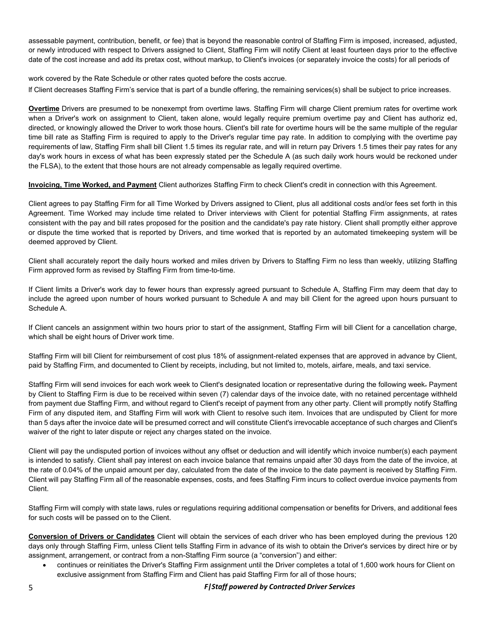assessable payment, contribution, benefit, or fee) that is beyond the reasonable control of Staffing Firm is imposed, increased, adjusted, or newly introduced with respect to Drivers assigned to Client, Staffing Firm will notify Client at least fourteen days prior to the effective date of the cost increase and add its pretax cost, without markup, to Client's invoices (or separately invoice the costs) for all periods of

work covered by the Rate Schedule or other rates quoted before the costs accrue. lf Client decreases Staffing Firm's service that is part of a bundle offering, the remaining services(s) shall be subject to price increases.

**Overtime** Drivers are presumed to be nonexempt from overtime laws. Staffing Firm will charge Client premium rates for overtime work when a Driver's work on assignment to Client, taken alone, would legally require premium overtime pay and Client has authoriz ed, directed, or knowingly allowed the Driver to work those hours. Client's bill rate for overtime hours will be the same multiple of the regular time bill rate as Staffing Firm is required to apply to the Driver's regular time pay rate. In addition to complying with the overtime pay requirements of law, Staffing Firm shall bill Client 1.5 times its regular rate, and will in return pay Drivers 1.5 times their pay rates for any day's work hours in excess of what has been expressly stated per the Schedule A (as such daily work hours would be reckoned under the FLSA), to the extent that those hours are not already compensable as legally required overtime.

**Invoicing, Time Worked, and Payment** Client authorizes Staffing Firm to check Client's credit in connection with this Agreement.

Client agrees to pay Staffing Firm for all Time Worked by Drivers assigned to Client, plus all additional costs and/or fees set forth in this Agreement. Time Worked may include time related to Driver interviews with Client for potential Staffing Firm assignments, at rates consistent with the pay and bill rates proposed for the position and the candidate's pay rate history. Client shall promptly either approve or dispute the time worked that is reported by Drivers, and time worked that is reported by an automated timekeeping system will be deemed approved by Client.

Client shall accurately report the daily hours worked and miles driven by Drivers to Staffing Firm no less than weekly, utilizing Staffing Firm approved form as revised by Staffing Firm from time-to-time.

If Client limits a Driver's work day to fewer hours than expressly agreed pursuant to Schedule A, Staffing Firm may deem that day to include the agreed upon number of hours worked pursuant to Schedule A and may bill Client for the agreed upon hours pursuant to Schedule A.

If Client cancels an assignment within two hours prior to start of the assignment, Staffing Firm will bill Client for a cancellation charge, which shall be eight hours of Driver work time.

Staffing Firm will bill Client for reimbursement of cost plus 18% of assignment-related expenses that are approved in advance by Client, paid by Staffing Firm, and documented to Client by receipts, including, but not limited to, motels, airfare, meals, and taxi service.

Staffing Firm will send invoices for each work week to Client's designated location or representative during the following week. Payment by Client to Staffing Firm is due to be received within seven (7) calendar days of the invoice date, with no retained percentage withheld from payment due Staffing Firm, and without regard to Client's receipt of payment from any other party. Client will promptly notify Staffing Firm of any disputed item, and Staffing Firm will work with Client to resolve such item. Invoices that are undisputed by Client for more than 5 days after the invoice date will be presumed correct and will constitute Client's irrevocable acceptance of such charges and Client's waiver of the right to later dispute or reject any charges stated on the invoice.

Client will pay the undisputed portion of invoices without any offset or deduction and will identify which invoice number(s) each payment is intended to satisfy. Client shall pay interest on each invoice balance that remains unpaid after 30 days from the date of the invoice, at the rate of 0.04% of the unpaid amount per day, calculated from the date of the invoice to the date payment is received by Staffing Firm. Client will pay Staffing Firm all of the reasonable expenses, costs, and fees Staffing Firm incurs to collect overdue invoice payments from Client.

Staffing Firm will comply with state laws, rules or regulations requiring additional compensation or benefits for Drivers, and additional fees for such costs will be passed on to the Client.

**Conversion of Drivers or Candidates** Client will obtain the services of each driver who has been employed during the previous 120 days only through Staffing Firm, unless Client tells Staffing Firm in advance of its wish to obtain the Driver's services by direct hire or by assignment, arrangement, or contract from a non-Staffing Firm source (a "conversion") and either:

• continues or reinitiates the Driver's Staffing Firm assignment until the Driver completes a total of 1,600 work hours for Client on exclusive assignment from Staffing Firm and Client has paid Staffing Firm for all of those hours;

5 *F|Staff powered by Contracted Driver Services*